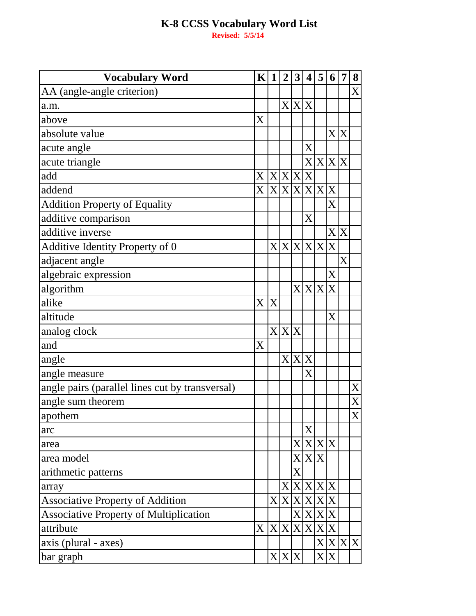| <b>Vocabulary Word</b>                          | $\mathbf K$ | $\mathbf{1}$ | $\boldsymbol{2}$ | $\mathbf{3}$              | $\overline{\mathbf{4}}$ | 5         | 6                       | 7       | 8                 |
|-------------------------------------------------|-------------|--------------|------------------|---------------------------|-------------------------|-----------|-------------------------|---------|-------------------|
| AA (angle-angle criterion)                      |             |              |                  |                           |                         |           |                         |         | $\rm\overline{X}$ |
| a.m.                                            |             |              |                  | X X X                     |                         |           |                         |         |                   |
| above                                           | X           |              |                  |                           |                         |           |                         |         |                   |
| absolute value                                  |             |              |                  |                           |                         |           |                         | X X     |                   |
| acute angle                                     |             |              |                  |                           | $\rm X$                 |           |                         |         |                   |
| acute triangle                                  |             |              |                  |                           |                         |           | X X X X                 |         |                   |
| add                                             | X           | X X X        |                  |                           | $\mathbf X$             |           |                         |         |                   |
| addend                                          | $\rm X$     |              | X X X            |                           |                         | X X X     |                         |         |                   |
| <b>Addition Property of Equality</b>            |             |              |                  |                           |                         |           | $\rm\overline{X}$       |         |                   |
| additive comparison                             |             |              |                  |                           | $\rm X$                 |           |                         |         |                   |
| additive inverse                                |             |              |                  |                           |                         |           |                         | X X     |                   |
| Additive Identity Property of 0                 |             | X            | X X X            |                           |                         |           | X                       |         |                   |
| adjacent angle                                  |             |              |                  |                           |                         |           |                         | X       |                   |
| algebraic expression                            |             |              |                  |                           |                         |           | $\rm X$                 |         |                   |
| algorithm                                       |             |              |                  |                           |                         | X X X X   |                         |         |                   |
| alike                                           | X           | X            |                  |                           |                         |           |                         |         |                   |
| altitude                                        |             |              |                  |                           |                         |           | $\overline{\mathrm{X}}$ |         |                   |
| analog clock                                    |             |              | X X X            |                           |                         |           |                         |         |                   |
| and                                             | X           |              |                  |                           |                         |           |                         |         |                   |
| angle                                           |             |              | $\mathbf{X}$     | $\mathbf{X}$              | X                       |           |                         |         |                   |
| angle measure                                   |             |              |                  |                           | $\rm\overline{X}$       |           |                         |         |                   |
| angle pairs (parallel lines cut by transversal) |             |              |                  |                           |                         |           |                         |         | X                 |
| angle sum theorem                               |             |              |                  |                           |                         |           |                         |         | $\rm X$           |
| apothem                                         |             |              |                  |                           |                         |           |                         |         | X                 |
| arc                                             |             |              |                  |                           | $\rm X$                 |           |                         |         |                   |
| area                                            |             |              |                  | $\boldsymbol{\mathrm{X}}$ |                         |           | X X X                   |         |                   |
| area model                                      |             |              |                  | $\mathbf{X}^{\parallel}$  |                         | X X       |                         |         |                   |
| arithmetic patterns                             |             |              |                  | X                         |                         |           |                         |         |                   |
| array                                           |             |              |                  |                           |                         | X X X X X |                         |         |                   |
| <b>Associative Property of Addition</b>         |             |              | X X X            |                           |                         | X X X     |                         |         |                   |
| <b>Associative Property of Multiplication</b>   |             |              |                  | $\mathbf{X}$              |                         | X X X     |                         |         |                   |
| attribute                                       | X           |              | X X X            |                           |                         | X X X     |                         |         |                   |
| axis (plural - axes)                            |             |              |                  |                           |                         |           |                         | X X X X |                   |
| bar graph                                       |             |              | X X X            |                           |                         |           | X X                     |         |                   |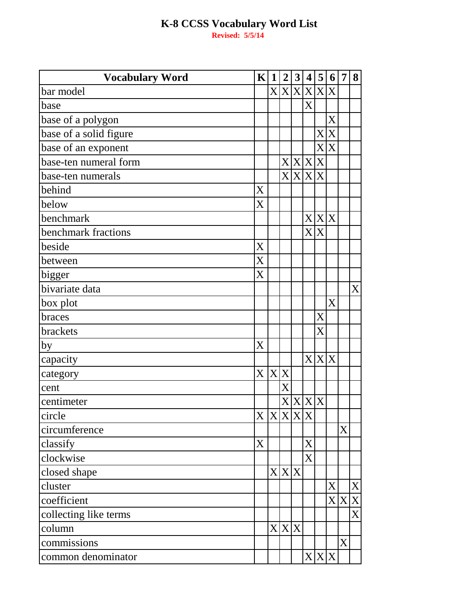| <b>Vocabulary Word</b> | K 1 2     |   |       | 3 | $\overline{4}$ | 5 <sup>1</sup> | 6 <sup>1</sup>    | $\overline{7}$ | 8 |
|------------------------|-----------|---|-------|---|----------------|----------------|-------------------|----------------|---|
| bar model              |           |   |       |   |                | X X X X X X    |                   |                |   |
| base                   |           |   |       |   | X              |                |                   |                |   |
| base of a polygon      |           |   |       |   |                |                | X                 |                |   |
| base of a solid figure |           |   |       |   |                |                | X X               |                |   |
| base of an exponent    |           |   |       |   |                |                | X X               |                |   |
| base-ten numeral form  |           |   |       |   | X X X X        |                |                   |                |   |
| base-ten numerals      |           |   |       |   | X X X X        |                |                   |                |   |
| behind                 | X         |   |       |   |                |                |                   |                |   |
| below                  | X         |   |       |   |                |                |                   |                |   |
| benchmark              |           |   |       |   |                | X X X          |                   |                |   |
| benchmark fractions    |           |   |       |   | X              | X              |                   |                |   |
| beside                 | X         |   |       |   |                |                |                   |                |   |
| between                | X         |   |       |   |                |                |                   |                |   |
| bigger                 | X         |   |       |   |                |                |                   |                |   |
| bivariate data         |           |   |       |   |                |                |                   |                | X |
| box plot               |           |   |       |   |                |                | $\rm\overline{X}$ |                |   |
| braces                 |           |   |       |   |                | $\mathbf X$    |                   |                |   |
| brackets               |           |   |       |   |                | X              |                   |                |   |
| by                     | X         |   |       |   |                |                |                   |                |   |
| capacity               |           |   |       |   |                | X X X          |                   |                |   |
| category               | X         | X | X     |   |                |                |                   |                |   |
| cent                   |           |   | X     |   |                |                |                   |                |   |
| centimeter             |           |   |       |   | X X X X        |                |                   |                |   |
| circle                 | X X X X X |   |       |   |                |                |                   |                |   |
| circumference          |           |   |       |   |                |                |                   | X              |   |
| classify               | X         |   |       |   | X              |                |                   |                |   |
| clockwise              |           |   |       |   | $\overline{X}$ |                |                   |                |   |
| closed shape           |           |   | X X   | X |                |                |                   |                |   |
| cluster                |           |   |       |   |                |                | X                 |                | X |
| coefficient            |           |   |       |   |                |                |                   | X X            | X |
| collecting like terms  |           |   |       |   |                |                |                   |                | X |
| column                 |           |   | X X X |   |                |                |                   |                |   |
| commissions            |           |   |       |   |                |                |                   | X              |   |
| common denominator     |           |   |       |   |                | X X X          |                   |                |   |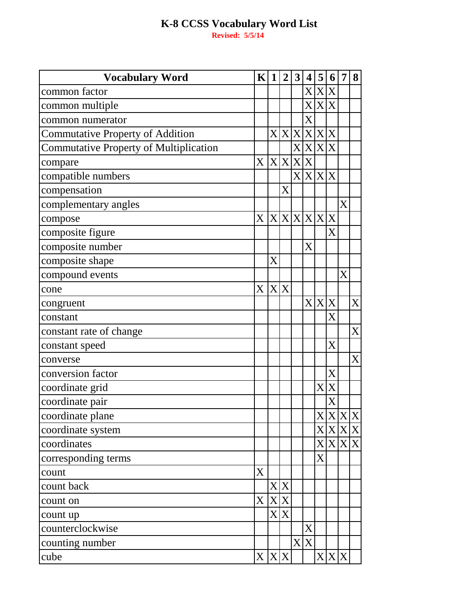**Vocabulary Word**<br> **K 1 2 3 4 5 6 7 8**<br> **K 1 2 3 4 5 6 7 8**<br> **X X X X**<br> **K 1 1** *X* **X X X** common factor common multiple Commutative Property of Addition<br>
XXXXXX<br>
Commutative Property of Multiplication<br>
XXXXXX Commutative Property of Addition Commutative Property of Multiplication X X X X compare  $X \mid X \mid X$ compatible numbers  $\begin{array}{c|c} | & | & X \times X \end{array}$ compensation X complementary angles X  $\alpha$  compose  $X \times X \times X \times X$ composite figure X composite number X composite shape X compound events X  $\alpha$  cone  $\begin{bmatrix} X \mid X \end{bmatrix}$  $\alpha$  Congruent  $\alpha$  X  $\alpha$  X  $\alpha$  X  $\alpha$  X  $\alpha$  X  $\alpha$  X  $\alpha$  X  $\alpha$  X  $\alpha$  X  $\alpha$ constant X constant rate of change X constant speed X converse X conversion factor  $\begin{array}{ccc} \downarrow & \downarrow & \downarrow & \downarrow \end{array}$  $\alpha$  coordinate grid  $X \times X$ coordinate pair X coordinate plane X X X X coordinate system  $\begin{array}{c|c} | & | & | \times \times \times \times \end{array}$  $\alpha$  coordinates  $\begin{array}{c|c} | & | & | \overline{X} \times X \times Y \end{array}$ corresponding terms X  $\alpha$  x  $\alpha$  X  $\alpha$  count back  $|X|X$  $\alpha$  count on  $X \times X$ count up  $\vert X \vert X$  $\alpha$ counterclockwise  $\begin{array}{c|c} \hline \text{3} & \text{4} \\ \hline \text{4} & \text{5} \\ \hline \end{array}$ counting number  $X \times X$ cube  $|X|X|X| + |X|X|X|X$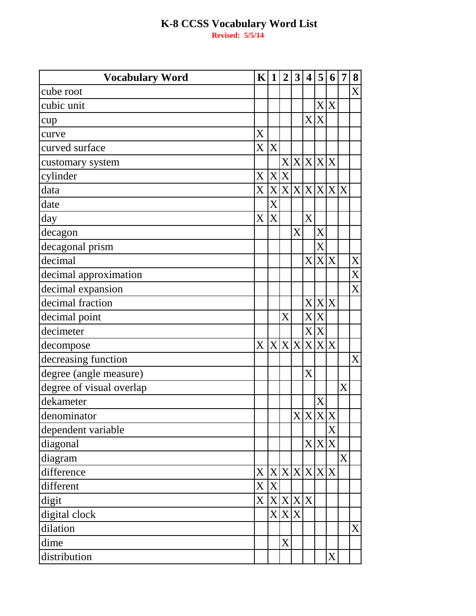| <b>Vocabulary Word</b>   | K                   | $\mathbf{1}$              | $\overline{2}$ | 3 | $\overline{\mathbf{4}}$ | 5             | 6   | 7 | 8              |
|--------------------------|---------------------|---------------------------|----------------|---|-------------------------|---------------|-----|---|----------------|
| cube root                |                     |                           |                |   |                         |               |     |   | $\overline{X}$ |
| cubic unit               |                     |                           |                |   |                         |               | X X |   |                |
| cup                      |                     |                           |                |   |                         | X X           |     |   |                |
| curve                    | X                   |                           |                |   |                         |               |     |   |                |
| curved surface           | $\rm X$             | X                         |                |   |                         |               |     |   |                |
| customary system         |                     |                           |                |   |                         | X X X X       |     |   |                |
| cylinder                 | $\mathbf X$         |                           | X X            |   |                         |               |     |   |                |
| data                     | $\rm X$ $\vert$     |                           |                |   |                         | X X X X X X X |     |   |                |
| date                     |                     | X                         |                |   |                         |               |     |   |                |
| day                      | $\rm X$             | X                         |                |   | X                       |               |     |   |                |
| decagon                  |                     |                           |                | X |                         | X             |     |   |                |
| decagonal prism          |                     |                           |                |   |                         | X             |     |   |                |
| decimal                  |                     |                           |                |   |                         | X X X         |     |   | X              |
| decimal approximation    |                     |                           |                |   |                         |               |     |   | $\overline{X}$ |
| decimal expansion        |                     |                           |                |   |                         |               |     |   | X              |
| decimal fraction         |                     |                           |                |   |                         | X X X         |     |   |                |
| decimal point            |                     |                           | X              |   |                         | X X           |     |   |                |
| decimeter                |                     |                           |                |   |                         | X X           |     |   |                |
| decompose                | $\overline{X}$      |                           |                |   |                         | X X X X X     |     |   |                |
| decreasing function      |                     |                           |                |   |                         |               |     |   | X              |
| degree (angle measure)   |                     |                           |                |   | X                       |               |     |   |                |
| degree of visual overlap |                     |                           |                |   |                         |               |     | X |                |
| dekameter                |                     |                           |                |   |                         | X             |     |   |                |
| denominator              |                     |                           |                |   |                         | X X X X       |     |   |                |
| dependent variable       |                     |                           |                |   |                         |               | X   |   |                |
| diagonal                 |                     |                           |                |   |                         | X X X         |     |   |                |
| diagram                  |                     |                           |                |   |                         |               |     | X |                |
| difference               | $\mathbf{X}^{\top}$ |                           |                |   |                         | X X X X X     |     |   |                |
| different                | $\rm X$             | $\boldsymbol{\mathrm{X}}$ |                |   |                         |               |     |   |                |
| digit                    | $\mathbf{X}^{\top}$ |                           | X X X X        |   |                         |               |     |   |                |
| digital clock            |                     |                           | X X X          |   |                         |               |     |   |                |
| dilation                 |                     |                           |                |   |                         |               |     |   | $\mathbf{X}$   |
| dime                     |                     |                           | X              |   |                         |               |     |   |                |
| distribution             |                     |                           |                |   |                         |               | X   |   |                |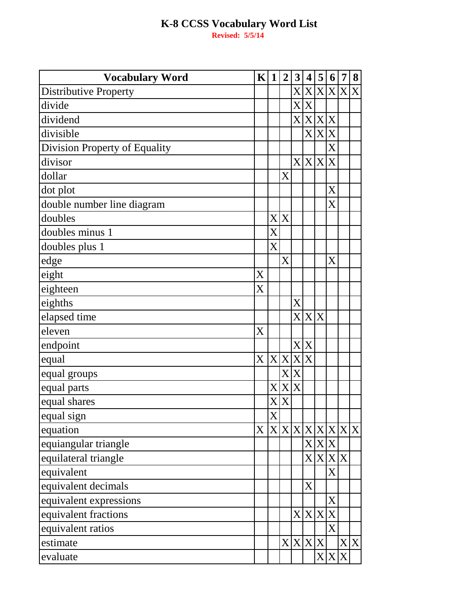**Vocabulary Word K 1 2 3 4 5 6 7 8** Distributive Property X X X X X X divide  $\vert \vert \vert \vert \vert \vert X \vert X$ dividend X X X X divisible X X X Division Property of Equality X divisor  $\vert \vert \vert \vert \vert \vert X \vert X \vert X$ dollar and  $|X|$ dot plot the set of the set of the set of the set of the set of the set of the set of the set of the set of the set of the set of the set of the set of the set of the set of the set of the set of the set of the set of the double number line diagram Value of the X doubles  $|X|X$ doubles minus 1  $\vert$  X  $d$ oubles plus 1  $\vert X \vert$ edge X X eight  $|X|$ eighteen X eighths X elapsed time  $\vert \vert \vert \vert \vert \vert \vert X \vert X \vert X$ eleven  $X$ endpoint  $\vert \vert \vert \vert \vert \vert X \vert X$ equal  $X X X X X$ equal groups  $X \times X$ equal parts X X X equal shares equal sign  $\vert X \vert$ equation X X X X X X X X X equiangular triangle<br>
equilateral triangle<br>  $\begin{array}{c|c}\n & X & X \\
\hline\nX & X & X\n\end{array}$ equilateral triangle equivalent X equivalent decimals  $\vert \vert \vert \vert \vert \vert \vert \vert X$ equivalent expressions X equivalent fractions  $\vert \vert \vert \vert \vert \vert X \vert X \vert X$ equivalent ratios X estimate X X X X X X evaluate  $\begin{array}{c|c|c|c|c} & & & & & \end{array}$   $\begin{array}{c|c|c|c} & & & & \end{array}$   $\begin{array}{c|c|c} & & & \end{array}$   $\begin{array}{c|c|c} & & & \end{array}$   $\begin{array}{c|c|c} & & & \end{array}$   $\begin{array}{c|c|c} & & & \end{array}$   $\begin{array}{c|c|c} & & & \end{array}$   $\begin{array}{c|c|c} & & & \end{array}$   $\begin{array}{c|c|c} & & & \end{array}$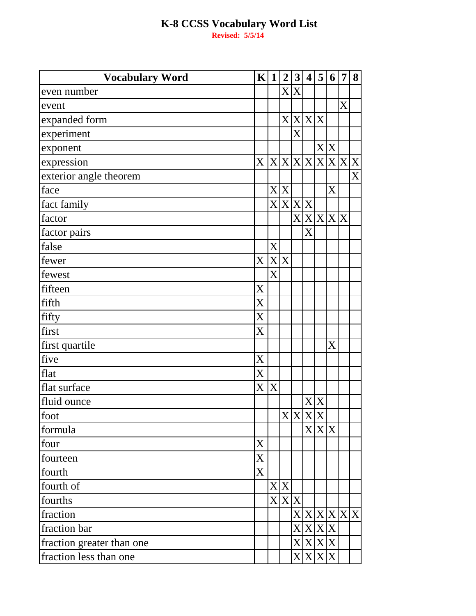$K|1|2|3|4|5|6$ **Vocabulary Word**  $\overline{7}$ 8  $\overline{X}$ even number  $\overline{\text{X}}$ event  $XX$  $\overline{X}$ expanded form  $\overline{X}$ experiment  $X|X$ exponent  $X|X|X|X|X|X|X|X$ expression  $\overline{\text{X}}$ exterior angle theorem  $\overline{X}$  X  $\overline{X}$ face  $X|X|X$ fact family  $X|X|X$  $\overline{\text{X}}$ factor  $\overline{X}$ factor pairs  $\overline{\text{X}}$ false  $\overline{\mathrm{X}}$  $\overline{X}$ fewer  $\overline{\mathrm{X}}$ fewest  $\overline{\mathrm{X}}$ fifteen  $\overline{\text{X}}$ fifth  $\overline{X}$ fifty  $\overline{\text{X}}$ first first quartile  $\overline{X}$ X five  $\overline{\mathrm{X}}$ flat  $\overline{X}$   $\overline{X}$ flat surface  $\overline{X}X$ fluid ounce  $X|X|X$ foot  $\overline{\text{X}}$  $X|X$ formula  $\overline{X}$ four  $\overline{\text{X}}$ fourteen  $\overline{\overline{X}}$ fourth  $X|X$ fourth of  $X|X|X$ fourths  $\frac{X}{X}$   $\frac{X}{X}$   $\frac{X}{X}$   $\frac{X}{X}$ fraction fraction bar  $X|X|X$ fraction greater than one  $\overline{\overline{X}}$  $\overline{\mathbf{X}}$  $\overline{\mathrm{X}}$  $\overline{\mathrm{X}}$ fraction less than one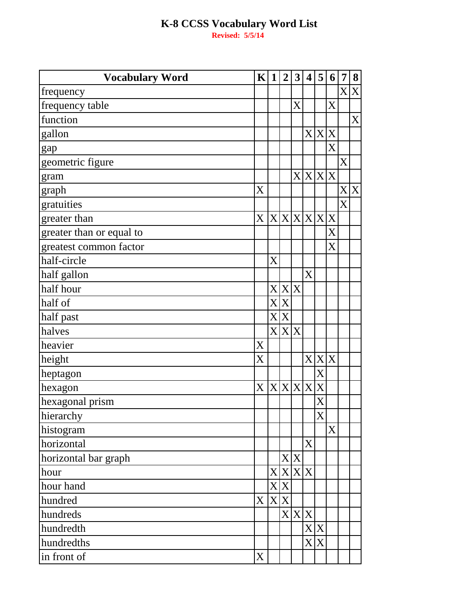| <b>Vocabulary Word</b>   | K                         | $\mathbf{1}$ | $\overline{2}$ | $\mathbf{3}$      | $\overline{\mathbf{4}}$ | 5     | 6                       | 7 | 8           |
|--------------------------|---------------------------|--------------|----------------|-------------------|-------------------------|-------|-------------------------|---|-------------|
| frequency                |                           |              |                |                   |                         |       |                         | X | X           |
| frequency table          |                           |              |                | $\rm\overline{X}$ |                         |       | X                       |   |             |
| function                 |                           |              |                |                   |                         |       |                         |   | $\mathbf X$ |
| gallon                   |                           |              |                |                   |                         | X X X |                         |   |             |
| gap                      |                           |              |                |                   |                         |       | X                       |   |             |
| geometric figure         |                           |              |                |                   |                         |       |                         | X |             |
| gram                     |                           |              |                |                   | X X X X                 |       |                         |   |             |
| graph                    | X                         |              |                |                   |                         |       |                         |   | X X         |
| gratuities               |                           |              |                |                   |                         |       |                         | X |             |
| greater than             | X X X X X X X             |              |                |                   |                         |       |                         |   |             |
| greater than or equal to |                           |              |                |                   |                         |       | X                       |   |             |
| greatest common factor   |                           |              |                |                   |                         |       | $\overline{\mathrm{X}}$ |   |             |
| half-circle              |                           | X            |                |                   |                         |       |                         |   |             |
| half gallon              |                           |              |                |                   | X                       |       |                         |   |             |
| half hour                |                           |              | X X X          |                   |                         |       |                         |   |             |
| half of                  |                           | X            | X              |                   |                         |       |                         |   |             |
| half past                |                           | X            | X              |                   |                         |       |                         |   |             |
| halves                   |                           | X            | X X            |                   |                         |       |                         |   |             |
| heavier                  | X                         |              |                |                   |                         |       |                         |   |             |
| height                   | X                         |              |                |                   |                         | X X X |                         |   |             |
| heptagon                 |                           |              |                |                   |                         | X     |                         |   |             |
| hexagon                  | $\boldsymbol{\mathrm{X}}$ |              | X X X X        |                   |                         | X     |                         |   |             |
| hexagonal prism          |                           |              |                |                   |                         | X     |                         |   |             |
| hierarchy                |                           |              |                |                   |                         | X     |                         |   |             |
| histogram                |                           |              |                |                   |                         |       | X                       |   |             |
| horizontal               |                           |              |                |                   | X                       |       |                         |   |             |
| horizontal bar graph     |                           |              |                | X X               |                         |       |                         |   |             |
| hour                     |                           |              | X X X X        |                   |                         |       |                         |   |             |
| hour hand                |                           |              | X X            |                   |                         |       |                         |   |             |
| hundred                  | X                         |              | X X            |                   |                         |       |                         |   |             |
| hundreds                 |                           |              |                |                   | X X X                   |       |                         |   |             |
| hundredth                |                           |              |                |                   |                         | X X   |                         |   |             |
| hundredths               |                           |              |                |                   |                         | X X   |                         |   |             |
| in front of              | X                         |              |                |                   |                         |       |                         |   |             |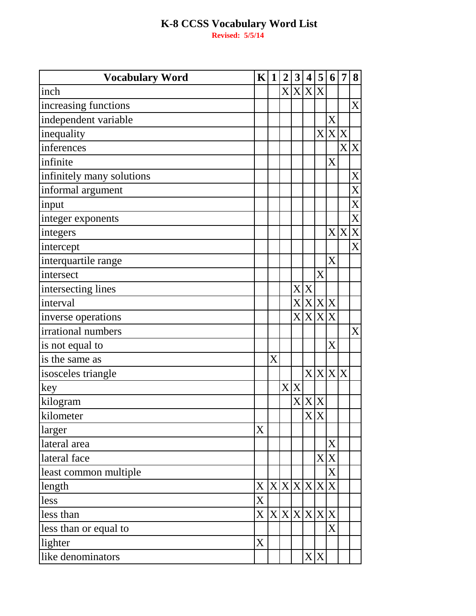| <b>Vocabulary Word</b>    | $\mathbf{K}$  | $\mathbf{1}$ | $\boldsymbol{2}$ | 3   |         | 4 5                         | 6                 | $\overline{7}$ | 8                |
|---------------------------|---------------|--------------|------------------|-----|---------|-----------------------------|-------------------|----------------|------------------|
| inch                      |               |              |                  |     | X X X X |                             |                   |                |                  |
| increasing functions      |               |              |                  |     |         |                             |                   |                | $\mathbf X$      |
| independent variable      |               |              |                  |     |         |                             | X                 |                |                  |
| inequality                |               |              |                  |     |         |                             |                   | X X X          |                  |
| inferences                |               |              |                  |     |         |                             |                   |                | X X              |
| infinite                  |               |              |                  |     |         |                             | $\rm\overline{X}$ |                |                  |
| infinitely many solutions |               |              |                  |     |         |                             |                   |                | $\boldsymbol{X}$ |
| informal argument         |               |              |                  |     |         |                             |                   |                | X                |
| input                     |               |              |                  |     |         |                             |                   |                | X                |
| integer exponents         |               |              |                  |     |         |                             |                   |                | X                |
| integers                  |               |              |                  |     |         |                             |                   | X X            | X                |
| intercept                 |               |              |                  |     |         |                             |                   |                | X                |
| interquartile range       |               |              |                  |     |         |                             | $\rm\overline{X}$ |                |                  |
| intersect                 |               |              |                  |     |         | X                           |                   |                |                  |
| intersecting lines        |               |              |                  |     | X X     |                             |                   |                |                  |
| interval                  |               |              |                  |     |         | X X X X                     |                   |                |                  |
| inverse operations        |               |              |                  |     |         | X X X X                     |                   |                |                  |
| irrational numbers        |               |              |                  |     |         |                             |                   |                | X                |
| is not equal to           |               |              |                  |     |         |                             | $\rm\overline{X}$ |                |                  |
| is the same as            |               | X            |                  |     |         |                             |                   |                |                  |
| isosceles triangle        |               |              |                  |     |         | X X X                       |                   | X              |                  |
| key                       |               |              |                  | X X |         |                             |                   |                |                  |
| kilogram                  |               |              |                  |     | X X X   |                             |                   |                |                  |
| kilometer                 |               |              |                  |     |         | $\overline{X} \overline{X}$ |                   |                |                  |
| larger                    | X             |              |                  |     |         |                             |                   |                |                  |
| lateral area              |               |              |                  |     |         |                             | X                 |                |                  |
| lateral face              |               |              |                  |     |         |                             | X X               |                |                  |
| least common multiple     |               |              |                  |     |         |                             | X                 |                |                  |
| length                    | X X X X X X X |              |                  |     |         |                             |                   |                |                  |
| less                      | X             |              |                  |     |         |                             |                   |                |                  |
| less than                 | X X X X X X X |              |                  |     |         |                             |                   |                |                  |
| less than or equal to     |               |              |                  |     |         |                             | X                 |                |                  |
| lighter                   | X             |              |                  |     |         |                             |                   |                |                  |
| like denominators         |               |              |                  |     |         | X X                         |                   |                |                  |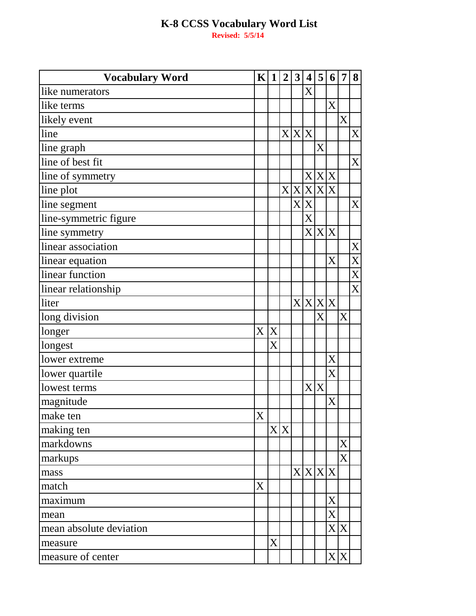| <b>Vocabulary Word</b>  | $\bf K$ | $\mathbf{1}$ | $\overline{2}$ | 3            | $\overline{\mathbf{4}}$ | 5       | 6                     | 7   | 8 |
|-------------------------|---------|--------------|----------------|--------------|-------------------------|---------|-----------------------|-----|---|
| like numerators         |         |              |                |              | X                       |         |                       |     |   |
| like terms              |         |              |                |              |                         |         | X                     |     |   |
| likely event            |         |              |                |              |                         |         |                       | X   |   |
| line                    |         |              |                | X X X        |                         |         |                       |     | X |
| line graph              |         |              |                |              |                         | X       |                       |     |   |
| line of best fit        |         |              |                |              |                         |         |                       |     | X |
| line of symmetry        |         |              |                |              |                         | X X X   |                       |     |   |
| line plot               |         |              | X              | X            |                         | X X X   |                       |     |   |
| line segment            |         |              |                | $\mathbf{X}$ | X                       |         |                       |     | X |
| line-symmetric figure   |         |              |                |              | X                       |         |                       |     |   |
| line symmetry           |         |              |                |              |                         | X X X   |                       |     |   |
| linear association      |         |              |                |              |                         |         |                       |     | X |
| linear equation         |         |              |                |              |                         |         | $\rm\overline{X}$     |     | X |
| linear function         |         |              |                |              |                         |         |                       |     | X |
| linear relationship     |         |              |                |              |                         |         |                       |     | X |
| liter                   |         |              |                |              |                         | X X X X |                       |     |   |
| long division           |         |              |                |              |                         | X       |                       | X   |   |
| longer                  | X       | X            |                |              |                         |         |                       |     |   |
| longest                 |         | $\rm X$      |                |              |                         |         |                       |     |   |
| lower extreme           |         |              |                |              |                         |         | $\rm X$               |     |   |
| lower quartile          |         |              |                |              |                         |         | $\overline{\text{X}}$ |     |   |
| lowest terms            |         |              |                |              |                         | X X     |                       |     |   |
| magnitude               |         |              |                |              |                         |         | X                     |     |   |
| make ten                | X       |              |                |              |                         |         |                       |     |   |
| making ten              |         |              | X X            |              |                         |         |                       |     |   |
| markdowns               |         |              |                |              |                         |         |                       | X   |   |
| markups                 |         |              |                |              |                         |         |                       | X   |   |
| mass                    |         |              |                |              |                         | X X X X |                       |     |   |
| match                   | X       |              |                |              |                         |         |                       |     |   |
| maximum                 |         |              |                |              |                         |         | X                     |     |   |
| mean                    |         |              |                |              |                         |         | X                     |     |   |
| mean absolute deviation |         |              |                |              |                         |         |                       | X X |   |
| measure                 |         | X            |                |              |                         |         |                       |     |   |
| measure of center       |         |              |                |              |                         |         |                       | X X |   |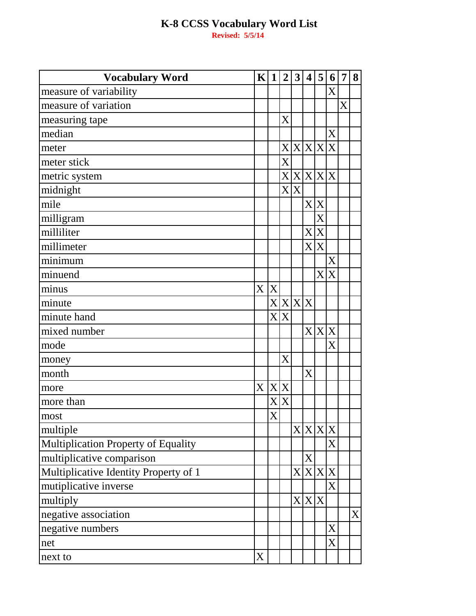| <b>Vocabulary Word</b>                | $\mathbf{K}$ | $\mathbf{1}$             | $\overline{2}$ | 3                        | $\overline{\mathbf{4}}$ | 5       | 6       | 7 | 8 |
|---------------------------------------|--------------|--------------------------|----------------|--------------------------|-------------------------|---------|---------|---|---|
| measure of variability                |              |                          |                |                          |                         |         | X       |   |   |
| measure of variation                  |              |                          |                |                          |                         |         |         | X |   |
| measuring tape                        |              |                          | X              |                          |                         |         |         |   |   |
| median                                |              |                          |                |                          |                         |         | X       |   |   |
| meter                                 |              |                          |                |                          |                         | X X X X |         |   |   |
| meter stick                           |              |                          | $\mathbf X$    |                          |                         |         |         |   |   |
| metric system                         |              |                          |                | X X                      |                         | X X     | X       |   |   |
| midnight                              |              |                          | $\mathbf{X}$   | $\mathbf{X}$             |                         |         |         |   |   |
| mile                                  |              |                          |                |                          |                         | X X     |         |   |   |
| milligram                             |              |                          |                |                          |                         | X       |         |   |   |
| milliliter                            |              |                          |                |                          | X                       | X       |         |   |   |
| millimeter                            |              |                          |                |                          | X                       | X       |         |   |   |
| minimum                               |              |                          |                |                          |                         |         | X       |   |   |
| minuend                               |              |                          |                |                          |                         | X       | X       |   |   |
| minus                                 | X            | X                        |                |                          |                         |         |         |   |   |
| minute                                |              |                          | X X X          |                          | X                       |         |         |   |   |
| minute hand                           |              | $\mathbf{X}^{\parallel}$ | X              |                          |                         |         |         |   |   |
| mixed number                          |              |                          |                |                          | X                       | X       | X       |   |   |
| mode                                  |              |                          |                |                          |                         |         | $\rm X$ |   |   |
| money                                 |              |                          | X              |                          |                         |         |         |   |   |
| month                                 |              |                          |                |                          | X                       |         |         |   |   |
| more                                  | X            | X                        | X              |                          |                         |         |         |   |   |
| more than                             |              | $\rm\overline{X}$        | X              |                          |                         |         |         |   |   |
| most                                  |              | X                        |                |                          |                         |         |         |   |   |
| multiple                              |              |                          |                | $\mathbf{X}$             |                         | X X X   |         |   |   |
| Multiplication Property of Equality   |              |                          |                |                          |                         |         | X       |   |   |
| multiplicative comparison             |              |                          |                |                          | X                       |         |         |   |   |
| Multiplicative Identity Property of 1 |              |                          |                | $\mathbf{X}^{\parallel}$ |                         | X X X   |         |   |   |
| mutiplicative inverse                 |              |                          |                |                          |                         |         | X       |   |   |
| multiply                              |              |                          |                | $X\vert$                 |                         | X X     |         |   |   |
| negative association                  |              |                          |                |                          |                         |         |         |   | X |
| negative numbers                      |              |                          |                |                          |                         |         | X       |   |   |
| net                                   |              |                          |                |                          |                         |         | X       |   |   |
| next to                               | X            |                          |                |                          |                         |         |         |   |   |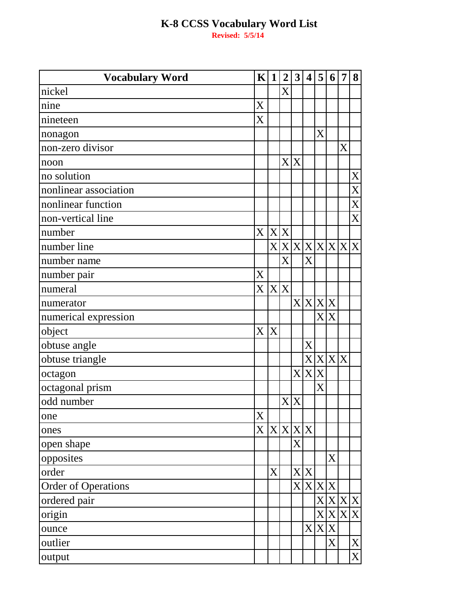| <b>Vocabulary Word</b>     | $\mathbf{K}$ | $\mathbf{1}$ | $\boldsymbol{2}$ | 3   | $\overline{\mathbf{4}}$ | 5     | 6                 | $\overline{7}$  | 8              |
|----------------------------|--------------|--------------|------------------|-----|-------------------------|-------|-------------------|-----------------|----------------|
| nickel                     |              |              | X                |     |                         |       |                   |                 |                |
| nine                       | X            |              |                  |     |                         |       |                   |                 |                |
| nineteen                   | X            |              |                  |     |                         |       |                   |                 |                |
| nonagon                    |              |              |                  |     |                         | X     |                   |                 |                |
| non-zero divisor           |              |              |                  |     |                         |       |                   | X               |                |
| noon                       |              |              |                  | X X |                         |       |                   |                 |                |
| no solution                |              |              |                  |     |                         |       |                   |                 | X              |
| nonlinear association      |              |              |                  |     |                         |       |                   |                 | X              |
| nonlinear function         |              |              |                  |     |                         |       |                   |                 | X              |
| non-vertical line          |              |              |                  |     |                         |       |                   |                 | $\overline{X}$ |
| number                     | X X X        |              |                  |     |                         |       |                   |                 |                |
| number line                |              |              |                  |     |                         |       |                   | X X X X X X X X |                |
| number name                |              |              | X                |     | X                       |       |                   |                 |                |
| number pair                | X            |              |                  |     |                         |       |                   |                 |                |
| numeral                    | X            | X X          |                  |     |                         |       |                   |                 |                |
| numerator                  |              |              |                  |     | X X X X                 |       |                   |                 |                |
| numerical expression       |              |              |                  |     |                         |       | X X               |                 |                |
| object                     | X            | X            |                  |     |                         |       |                   |                 |                |
| obtuse angle               |              |              |                  |     | X                       |       |                   |                 |                |
| obtuse triangle            |              |              |                  |     |                         | X X X |                   | $\mathbf X$     |                |
| octagon                    |              |              |                  |     | X X X                   |       |                   |                 |                |
| octagonal prism            |              |              |                  |     |                         | X     |                   |                 |                |
| odd number                 |              |              |                  | X X |                         |       |                   |                 |                |
| one                        | X            |              |                  |     |                         |       |                   |                 |                |
| ones                       | X            |              | X X X            |     |                         |       |                   |                 |                |
| open shape                 |              |              |                  | X   |                         |       |                   |                 |                |
| opposites                  |              |              |                  |     |                         |       | $\rm\overline{X}$ |                 |                |
| order                      |              | X            |                  |     | X X                     |       |                   |                 |                |
| <b>Order of Operations</b> |              |              |                  |     | X X X X                 |       |                   |                 |                |
| ordered pair               |              |              |                  |     |                         |       |                   | X X X X         |                |
| origin                     |              |              |                  |     |                         |       | X X               |                 | X X            |
| ounce                      |              |              |                  |     | X                       |       | X X               |                 |                |
| outlier                    |              |              |                  |     |                         |       | X                 |                 | $\mathbf X$    |
| output                     |              |              |                  |     |                         |       |                   |                 | $\mathbf{X}$   |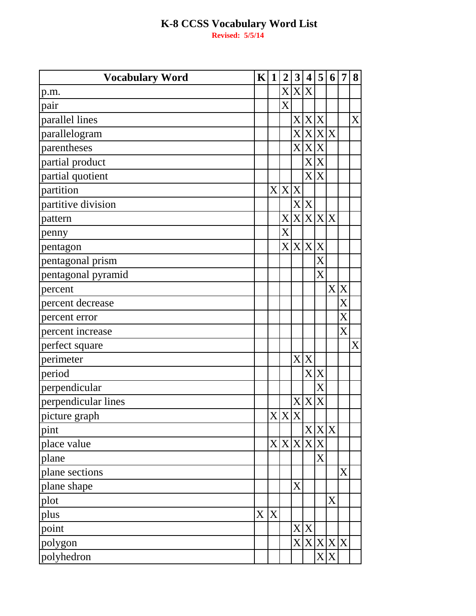| <b>Vocabulary Word</b> | $\mathbf{K}$ | $\mathbf{1}$ | $\overline{2}$ | 3                         | $\boldsymbol{4}$ | 5     | 6            | 7           | 8 |
|------------------------|--------------|--------------|----------------|---------------------------|------------------|-------|--------------|-------------|---|
| p.m.                   |              |              |                |                           | X X X            |       |              |             |   |
| pair                   |              |              | $\overline{X}$ |                           |                  |       |              |             |   |
| parallel lines         |              |              |                | $\rm X$                   |                  | X X   |              |             | X |
| parallelogram          |              |              |                | $\rm X$ $\,$              |                  | X X X |              |             |   |
| parentheses            |              |              |                | $\boldsymbol{\mathrm{X}}$ |                  | X X   |              |             |   |
| partial product        |              |              |                |                           |                  | X X   |              |             |   |
| partial quotient       |              |              |                |                           |                  | X X   |              |             |   |
| partition              |              |              | X X X          |                           |                  |       |              |             |   |
| partitive division     |              |              |                | $\mathbf{X}$              | $\mathbf X$      |       |              |             |   |
| pattern                |              |              | X              | $\mathbf{X}$              |                  | X X X |              |             |   |
| penny                  |              |              | X              |                           |                  |       |              |             |   |
| pentagon               |              |              |                |                           | X X X X          |       |              |             |   |
| pentagonal prism       |              |              |                |                           |                  | X     |              |             |   |
| pentagonal pyramid     |              |              |                |                           |                  | X     |              |             |   |
| percent                |              |              |                |                           |                  |       | $\mathbf{X}$ | $\mathbf X$ |   |
| percent decrease       |              |              |                |                           |                  |       |              | $\rm X$     |   |
| percent error          |              |              |                |                           |                  |       |              | X           |   |
| percent increase       |              |              |                |                           |                  |       |              | X           |   |
| perfect square         |              |              |                |                           |                  |       |              |             | X |
| perimeter              |              |              |                | $\mathbf{X}$              | X                |       |              |             |   |
| period                 |              |              |                |                           |                  | X X   |              |             |   |
| perpendicular          |              |              |                |                           |                  | X     |              |             |   |
| perpendicular lines    |              |              |                | X                         | $\mathbf X$      | X     |              |             |   |
| picture graph          |              |              | X X X          |                           |                  |       |              |             |   |
| pint                   |              |              |                |                           |                  | X X X |              |             |   |
| place value            |              |              | X X X          |                           |                  | X X   |              |             |   |
| plane                  |              |              |                |                           |                  | X     |              |             |   |
| plane sections         |              |              |                |                           |                  |       |              | X           |   |
| plane shape            |              |              |                | $\rm X$                   |                  |       |              |             |   |
| plot                   |              |              |                |                           |                  |       | X            |             |   |
| plus                   | X            | X            |                |                           |                  |       |              |             |   |
| point                  |              |              |                |                           | X X              |       |              |             |   |
| polygon                |              |              |                | $\mathbf{X}$              |                  |       | X X X X      |             |   |
| polyhedron             |              |              |                |                           |                  |       | X X          |             |   |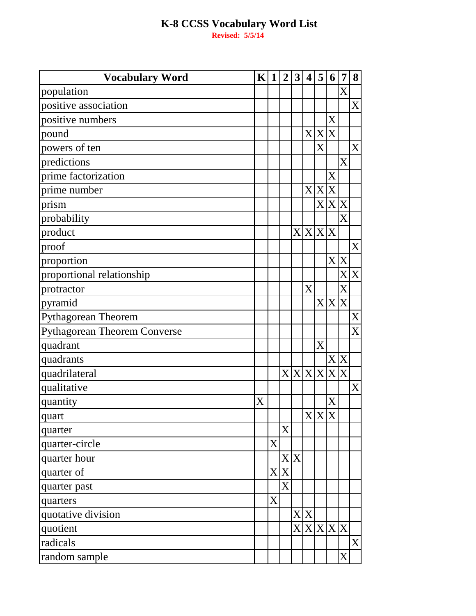| <b>Vocabulary Word</b>              | K | $\mathbf{1}$          | $\overline{2}$ | $\mathbf{3}$             | $\overline{\mathbf{4}}$ | 5           | 6                 | 7                       | 8                |
|-------------------------------------|---|-----------------------|----------------|--------------------------|-------------------------|-------------|-------------------|-------------------------|------------------|
| population                          |   |                       |                |                          |                         |             |                   | $\overline{\mathrm{X}}$ |                  |
| positive association                |   |                       |                |                          |                         |             |                   |                         | X                |
| positive numbers                    |   |                       |                |                          |                         |             | X                 |                         |                  |
| pound                               |   |                       |                |                          |                         | X X X       |                   |                         |                  |
| powers of ten                       |   |                       |                |                          |                         | X           |                   |                         | X                |
| predictions                         |   |                       |                |                          |                         |             |                   | X                       |                  |
| prime factorization                 |   |                       |                |                          |                         |             | X                 |                         |                  |
| prime number                        |   |                       |                |                          |                         | X X X       |                   |                         |                  |
| prism                               |   |                       |                |                          |                         |             | X X X             |                         |                  |
| probability                         |   |                       |                |                          |                         |             |                   | X                       |                  |
| product                             |   |                       |                |                          | X X X X                 |             |                   |                         |                  |
| proof                               |   |                       |                |                          |                         |             |                   |                         | X                |
| proportion                          |   |                       |                |                          |                         |             |                   | X X                     |                  |
| proportional relationship           |   |                       |                |                          |                         |             |                   | X                       | X                |
| protractor                          |   |                       |                |                          | X                       |             |                   | X                       |                  |
| pyramid                             |   |                       |                |                          |                         |             | X X X             |                         |                  |
| <b>Pythagorean Theorem</b>          |   |                       |                |                          |                         |             |                   |                         | X                |
| <b>Pythagorean Theorem Converse</b> |   |                       |                |                          |                         |             |                   |                         | $\overline{X}$   |
| quadrant                            |   |                       |                |                          |                         | $\mathbf X$ |                   |                         |                  |
| quadrants                           |   |                       |                |                          |                         |             |                   | X X                     |                  |
| quadrilateral                       |   |                       |                |                          |                         |             | X X X X X X       |                         |                  |
| qualitative                         |   |                       |                |                          |                         |             |                   |                         | X                |
| quantity                            | X |                       |                |                          |                         |             | $\rm\overline{X}$ |                         |                  |
| quart                               |   |                       |                |                          |                         |             | X X X             |                         |                  |
| quarter                             |   |                       | X              |                          |                         |             |                   |                         |                  |
| quarter-circle                      |   | X                     |                |                          |                         |             |                   |                         |                  |
| quarter hour                        |   |                       |                | X X                      |                         |             |                   |                         |                  |
| quarter of                          |   | $\mathbf{X}$          | X              |                          |                         |             |                   |                         |                  |
| quarter past                        |   |                       | $\mathbf{X}$   |                          |                         |             |                   |                         |                  |
| quarters                            |   | $\overline{\text{X}}$ |                |                          |                         |             |                   |                         |                  |
| quotative division                  |   |                       |                |                          | X X                     |             |                   |                         |                  |
| quotient                            |   |                       |                | $\mathbf{X}^{\parallel}$ |                         |             | X X X X           |                         |                  |
| radicals                            |   |                       |                |                          |                         |             |                   |                         | $\boldsymbol{X}$ |
| random sample                       |   |                       |                |                          |                         |             |                   | X                       |                  |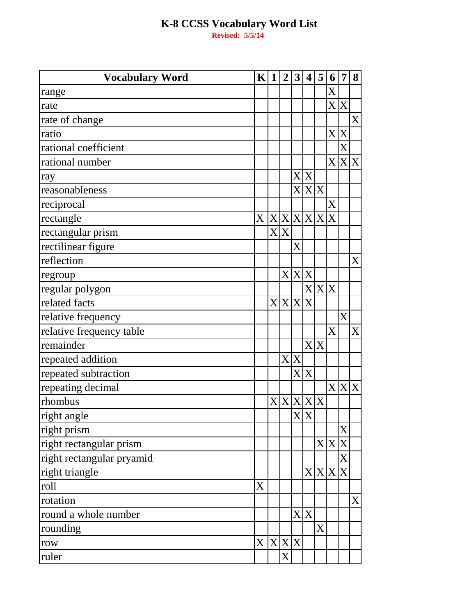| <b>Vocabulary Word</b>    | K              | $\mathbf{1}$ | $\boldsymbol{2}$ | $\mathbf{3}$             | $\overline{\mathbf{4}}$            | 5         | 6                 | 7           | 8                |
|---------------------------|----------------|--------------|------------------|--------------------------|------------------------------------|-----------|-------------------|-------------|------------------|
| range                     |                |              |                  |                          |                                    |           | X                 |             |                  |
| rate                      |                |              |                  |                          |                                    |           |                   | X X         |                  |
| rate of change            |                |              |                  |                          |                                    |           |                   |             | $\boldsymbol{X}$ |
| ratio                     |                |              |                  |                          |                                    |           |                   | X X         |                  |
| rational coefficient      |                |              |                  |                          |                                    |           |                   | X           |                  |
| rational number           |                |              |                  |                          |                                    |           |                   |             | X X X            |
| ray                       |                |              |                  |                          | X X                                |           |                   |             |                  |
| reasonableness            |                |              |                  |                          |                                    | X X X     |                   |             |                  |
| reciprocal                |                |              |                  |                          |                                    |           | X                 |             |                  |
| rectangle                 | X X X X X X    |              |                  |                          |                                    |           |                   |             |                  |
| rectangular prism         |                |              | X X              |                          |                                    |           |                   |             |                  |
| rectilinear figure        |                |              |                  | $\rm\overline{X}$        |                                    |           |                   |             |                  |
| reflection                |                |              |                  |                          |                                    |           |                   |             | X                |
| regroup                   |                |              |                  | X X                      | $\mathbf X$                        |           |                   |             |                  |
| regular polygon           |                |              |                  |                          |                                    | X X X     |                   |             |                  |
| related facts             |                |              | X X X            |                          | X                                  |           |                   |             |                  |
| relative frequency        |                |              |                  |                          |                                    |           |                   | X           |                  |
| relative frequency table  |                |              |                  |                          |                                    |           | $\rm\overline{X}$ |             | X                |
| remainder                 |                |              |                  |                          |                                    | X X       |                   |             |                  |
| repeated addition         |                |              |                  | X X                      |                                    |           |                   |             |                  |
| repeated subtraction      |                |              |                  | $\mathbf{X}^{\parallel}$ | $\mathbf X$                        |           |                   |             |                  |
| repeating decimal         |                |              |                  |                          |                                    |           |                   |             | X X X            |
| rhombus                   |                |              |                  |                          |                                    | X X X X X |                   |             |                  |
| right angle               |                |              |                  |                          | $\overline{\mathrm{X} \mathrm{X}}$ |           |                   |             |                  |
| right prism               |                |              |                  |                          |                                    |           |                   | X           |                  |
| right rectangular prism   |                |              |                  |                          |                                    |           | X X               | $\mathbf X$ |                  |
| right rectangular pryamid |                |              |                  |                          |                                    |           |                   | X           |                  |
| right triangle            |                |              |                  |                          |                                    | X X X     |                   | $\mathbf X$ |                  |
| roll                      | $\overline{X}$ |              |                  |                          |                                    |           |                   |             |                  |
| rotation                  |                |              |                  |                          |                                    |           |                   |             | $\rm X$          |
| round a whole number      |                |              |                  | $\rm X$ $\,$             | $\boldsymbol{X}$                   |           |                   |             |                  |
| rounding                  |                |              |                  |                          |                                    | X         |                   |             |                  |
| row                       | X X X X        |              |                  |                          |                                    |           |                   |             |                  |
| ruler                     |                |              | X                |                          |                                    |           |                   |             |                  |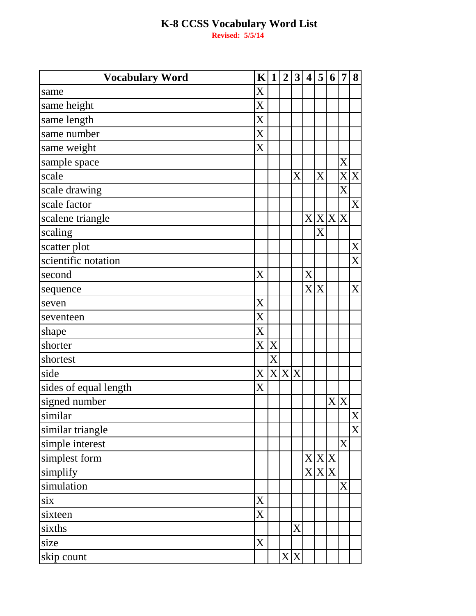| <b>Vocabulary Word</b> | $\mathbf{K}$ | $\mathbf{1}$ | $\overline{2}$ | 3       | $\overline{\mathbf{4}}$ | 5       | 6 | $\overline{7}$ | 8              |
|------------------------|--------------|--------------|----------------|---------|-------------------------|---------|---|----------------|----------------|
| same                   | X            |              |                |         |                         |         |   |                |                |
| same height            | X            |              |                |         |                         |         |   |                |                |
| same length            | X            |              |                |         |                         |         |   |                |                |
| same number            | X            |              |                |         |                         |         |   |                |                |
| same weight            | X            |              |                |         |                         |         |   |                |                |
| sample space           |              |              |                |         |                         |         |   | X              |                |
| scale                  |              |              |                | $\rm X$ |                         | X       |   |                | X X            |
| scale drawing          |              |              |                |         |                         |         |   | X              |                |
| scale factor           |              |              |                |         |                         |         |   |                | X              |
| scalene triangle       |              |              |                |         |                         | X X X X |   |                |                |
| scaling                |              |              |                |         |                         | X       |   |                |                |
| scatter plot           |              |              |                |         |                         |         |   |                | X              |
| scientific notation    |              |              |                |         |                         |         |   |                | X              |
| second                 | X            |              |                |         | X                       |         |   |                |                |
| sequence               |              |              |                |         |                         | X X     |   |                | X              |
| seven                  | X            |              |                |         |                         |         |   |                |                |
| seventeen              | X            |              |                |         |                         |         |   |                |                |
| shape                  | X            |              |                |         |                         |         |   |                |                |
| shorter                | X            | X            |                |         |                         |         |   |                |                |
| shortest               |              | X            |                |         |                         |         |   |                |                |
| side                   | X            | X X X        |                |         |                         |         |   |                |                |
| sides of equal length  | X            |              |                |         |                         |         |   |                |                |
| signed number          |              |              |                |         |                         |         |   | X X            |                |
| similar                |              |              |                |         |                         |         |   |                | $\mathbf{X}$   |
| similar triangle       |              |              |                |         |                         |         |   |                | $\overline{X}$ |
| simple interest        |              |              |                |         |                         |         |   | X              |                |
| simplest form          |              |              |                |         |                         | X X X   |   |                |                |
| simplify               |              |              |                |         |                         | X X X   |   |                |                |
| simulation             |              |              |                |         |                         |         |   | X              |                |
| six                    | X            |              |                |         |                         |         |   |                |                |
| sixteen                | X            |              |                |         |                         |         |   |                |                |
| sixths                 |              |              |                | X       |                         |         |   |                |                |
| size                   | X            |              |                |         |                         |         |   |                |                |
| skip count             |              |              |                | X X     |                         |         |   |                |                |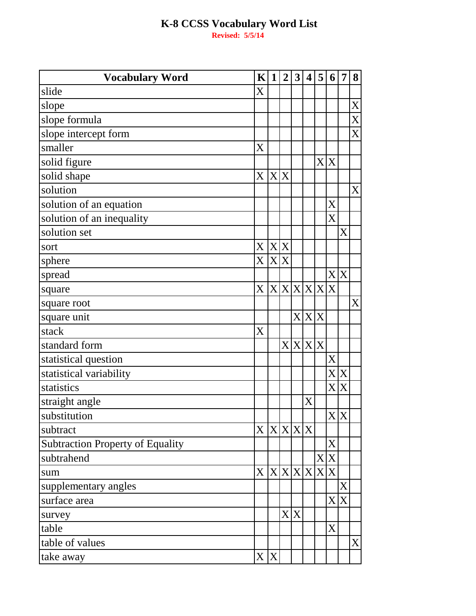| <b>Vocabulary Word</b>                  | $\mathbf{K}$ | $\mathbf{1}$ | $\overline{2}$ | 3   | $\overline{\mathbf{4}}$ | 5       | 6                     | 7                           | 8           |
|-----------------------------------------|--------------|--------------|----------------|-----|-------------------------|---------|-----------------------|-----------------------------|-------------|
| slide                                   | X            |              |                |     |                         |         |                       |                             |             |
| slope                                   |              |              |                |     |                         |         |                       |                             | X           |
| slope formula                           |              |              |                |     |                         |         |                       |                             | $\mathbf X$ |
| slope intercept form                    |              |              |                |     |                         |         |                       |                             | X           |
| smaller                                 | X            |              |                |     |                         |         |                       |                             |             |
| solid figure                            |              |              |                |     |                         |         | X X                   |                             |             |
| solid shape                             | X            | X X          |                |     |                         |         |                       |                             |             |
| solution                                |              |              |                |     |                         |         |                       |                             | X           |
| solution of an equation                 |              |              |                |     |                         |         | $\overline{\text{X}}$ |                             |             |
| solution of an inequality               |              |              |                |     |                         |         | $\overline{X}$        |                             |             |
| solution set                            |              |              |                |     |                         |         |                       | $\rm\overline{X}$           |             |
| sort                                    | X            | X X          |                |     |                         |         |                       |                             |             |
| sphere                                  | X            | X X          |                |     |                         |         |                       |                             |             |
| spread                                  |              |              |                |     |                         |         |                       | X X                         |             |
| square                                  | X            | $\mathbf{X}$ |                |     |                         | X X X X |                       |                             |             |
| square root                             |              |              |                |     |                         |         |                       |                             | X           |
| square unit                             |              |              |                |     | X X X                   |         |                       |                             |             |
| stack                                   | X            |              |                |     |                         |         |                       |                             |             |
| standard form                           |              |              |                |     | X X X X                 |         |                       |                             |             |
| statistical question                    |              |              |                |     |                         |         | X                     |                             |             |
| statistical variability                 |              |              |                |     |                         |         | $\mathbf{X}$          | X                           |             |
| statistics                              |              |              |                |     |                         |         | $\mathbf{X}$          | X                           |             |
| straight angle                          |              |              |                |     | X                       |         |                       |                             |             |
| substitution                            |              |              |                |     |                         |         |                       | $\overline{X} \overline{X}$ |             |
| subtract                                | X X X X X    |              |                |     |                         |         |                       |                             |             |
| <b>Subtraction Property of Equality</b> |              |              |                |     |                         |         | X                     |                             |             |
| subtrahend                              |              |              |                |     |                         | X       | $\mathbf X$           |                             |             |
| sum                                     | X            |              | X X X X        |     |                         |         | X X                   |                             |             |
| supplementary angles                    |              |              |                |     |                         |         |                       | X                           |             |
| surface area                            |              |              |                |     |                         |         | $\mathbf{X}$          | X                           |             |
| survey                                  |              |              |                | X X |                         |         |                       |                             |             |
| table                                   |              |              |                |     |                         |         | X                     |                             |             |
| table of values                         |              |              |                |     |                         |         |                       |                             | X           |
| take away                               | X            | X            |                |     |                         |         |                       |                             |             |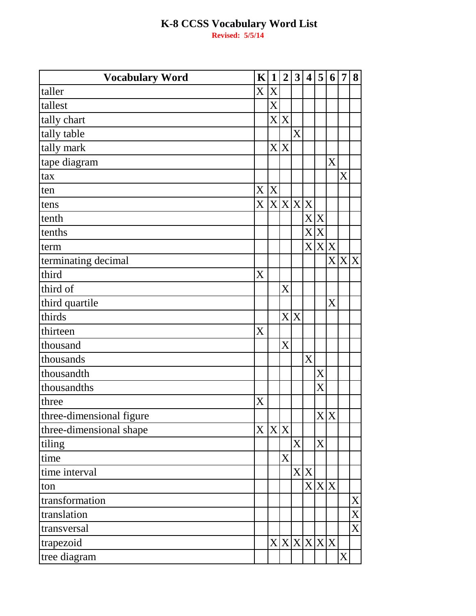| <b>Vocabulary Word</b>   | K              | $\mathbf{1}$ | $\overline{2}$ | 3            | $\overline{\mathbf{4}}$ | 5           | 6                         | 7                  | 8            |
|--------------------------|----------------|--------------|----------------|--------------|-------------------------|-------------|---------------------------|--------------------|--------------|
| taller                   | $\overline{X}$ | X            |                |              |                         |             |                           |                    |              |
| tallest                  |                | X            |                |              |                         |             |                           |                    |              |
| tally chart              |                |              | X X            |              |                         |             |                           |                    |              |
| tally table              |                |              |                | X            |                         |             |                           |                    |              |
| tally mark               |                |              | X X            |              |                         |             |                           |                    |              |
| tape diagram             |                |              |                |              |                         |             | $\boldsymbol{\mathrm{X}}$ |                    |              |
| tax                      |                |              |                |              |                         |             |                           | X                  |              |
| ten                      | X X            |              |                |              |                         |             |                           |                    |              |
| tens                     | X              | X X X        |                |              |                         |             |                           |                    |              |
| tenth                    |                |              |                |              |                         | X X         |                           |                    |              |
| tenths                   |                |              |                |              |                         | X X         |                           |                    |              |
| term                     |                |              |                |              |                         | X X X       |                           |                    |              |
| terminating decimal      |                |              |                |              |                         |             |                           | $X X \overline{X}$ |              |
| third                    | X              |              |                |              |                         |             |                           |                    |              |
| third of                 |                |              | X              |              |                         |             |                           |                    |              |
| third quartile           |                |              |                |              |                         |             | X                         |                    |              |
| thirds                   |                |              |                | X X          |                         |             |                           |                    |              |
| thirteen                 | X              |              |                |              |                         |             |                           |                    |              |
| thousand                 |                |              | X              |              |                         |             |                           |                    |              |
| thousands                |                |              |                |              | X                       |             |                           |                    |              |
| thousandth               |                |              |                |              |                         | X           |                           |                    |              |
| thousandths              |                |              |                |              |                         | X           |                           |                    |              |
| three                    | X              |              |                |              |                         |             |                           |                    |              |
| three-dimensional figure |                |              |                |              |                         |             | X X                       |                    |              |
| three-dimensional shape  | X              | X X          |                |              |                         |             |                           |                    |              |
| tiling                   |                |              |                | $\mathbf{X}$ |                         | X           |                           |                    |              |
| time                     |                |              | X              |              |                         |             |                           |                    |              |
| time interval            |                |              |                |              | X X                     |             |                           |                    |              |
| ton                      |                |              |                |              |                         | X X X       |                           |                    |              |
| transformation           |                |              |                |              |                         |             |                           |                    | $\mathbf X$  |
| translation              |                |              |                |              |                         |             |                           |                    | X            |
| transversal              |                |              |                |              |                         |             |                           |                    | $\mathbf{X}$ |
| trapezoid                |                |              |                |              |                         | X X X X X X |                           |                    |              |
| tree diagram             |                |              |                |              |                         |             |                           | X                  |              |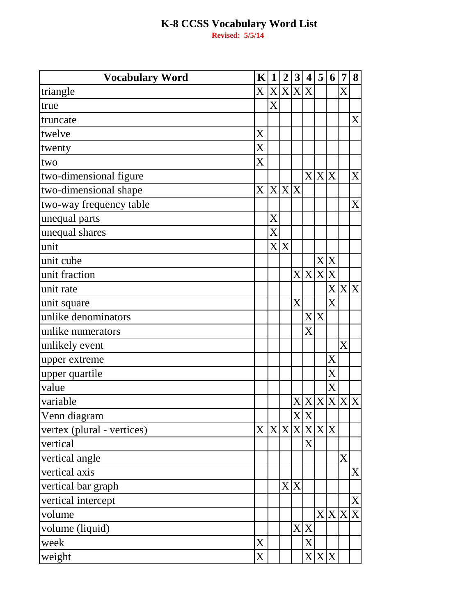| <b>Vocabulary Word</b>     | $\mathbf K$                    | $\mathbf{1}$ | $\overline{2}$ | 3                        | $\boldsymbol{4}$      | 5     | 6              | $\overline{7}$          | 8           |
|----------------------------|--------------------------------|--------------|----------------|--------------------------|-----------------------|-------|----------------|-------------------------|-------------|
| triangle                   | $\overline{X}$ $X$ $X$ $X$ $X$ |              |                |                          |                       |       |                | X                       |             |
| true                       |                                | X            |                |                          |                       |       |                |                         |             |
| truncate                   |                                |              |                |                          |                       |       |                |                         | X           |
| twelve                     | X                              |              |                |                          |                       |       |                |                         |             |
| twenty                     | $\mathbf X$                    |              |                |                          |                       |       |                |                         |             |
| two                        | X                              |              |                |                          |                       |       |                |                         |             |
| two-dimensional figure     |                                |              |                |                          |                       | X X X |                |                         | X           |
| two-dimensional shape      | X                              |              | X X X          |                          |                       |       |                |                         |             |
| two-way frequency table    |                                |              |                |                          |                       |       |                |                         | X           |
| unequal parts              |                                | X            |                |                          |                       |       |                |                         |             |
| unequal shares             |                                | X            |                |                          |                       |       |                |                         |             |
| unit                       |                                | X            | X              |                          |                       |       |                |                         |             |
| unit cube                  |                                |              |                |                          |                       |       | X X            |                         |             |
| unit fraction              |                                |              |                | $\mathbf{X}^{\parallel}$ |                       | X X X |                |                         |             |
| unit rate                  |                                |              |                |                          |                       |       |                | X X X                   |             |
| unit square                |                                |              |                | X                        |                       |       | $\overline{X}$ |                         |             |
| unlike denominators        |                                |              |                |                          |                       | X X   |                |                         |             |
| unlike numerators          |                                |              |                |                          | $\overline{\text{X}}$ |       |                |                         |             |
| unlikely event             |                                |              |                |                          |                       |       |                | $\overline{\mathrm{X}}$ |             |
| upper extreme              |                                |              |                |                          |                       |       | X              |                         |             |
| upper quartile             |                                |              |                |                          |                       |       | X              |                         |             |
| value                      |                                |              |                |                          |                       |       | X              |                         |             |
| variable                   |                                |              |                | $X\vert$                 |                       |       |                | X X X X X               |             |
| Venn diagram               |                                |              |                |                          | X X                   |       |                |                         |             |
| vertex (plural - vertices) | $\overline{X}$                 |              | X X X          |                          |                       | X X X |                |                         |             |
| vertical                   |                                |              |                |                          | X                     |       |                |                         |             |
| vertical angle             |                                |              |                |                          |                       |       |                | X                       |             |
| vertical axis              |                                |              |                |                          |                       |       |                |                         | X           |
| vertical bar graph         |                                |              | X X            |                          |                       |       |                |                         |             |
| vertical intercept         |                                |              |                |                          |                       |       |                |                         | X           |
| volume                     |                                |              |                |                          |                       |       | X X            | X                       | $\mathbf X$ |
| volume (liquid)            |                                |              |                | $\mathbf{X}$             | X                     |       |                |                         |             |
| week                       | X                              |              |                |                          | $\boldsymbol{X}$      |       |                |                         |             |
| weight                     | X                              |              |                |                          |                       | X X X |                |                         |             |